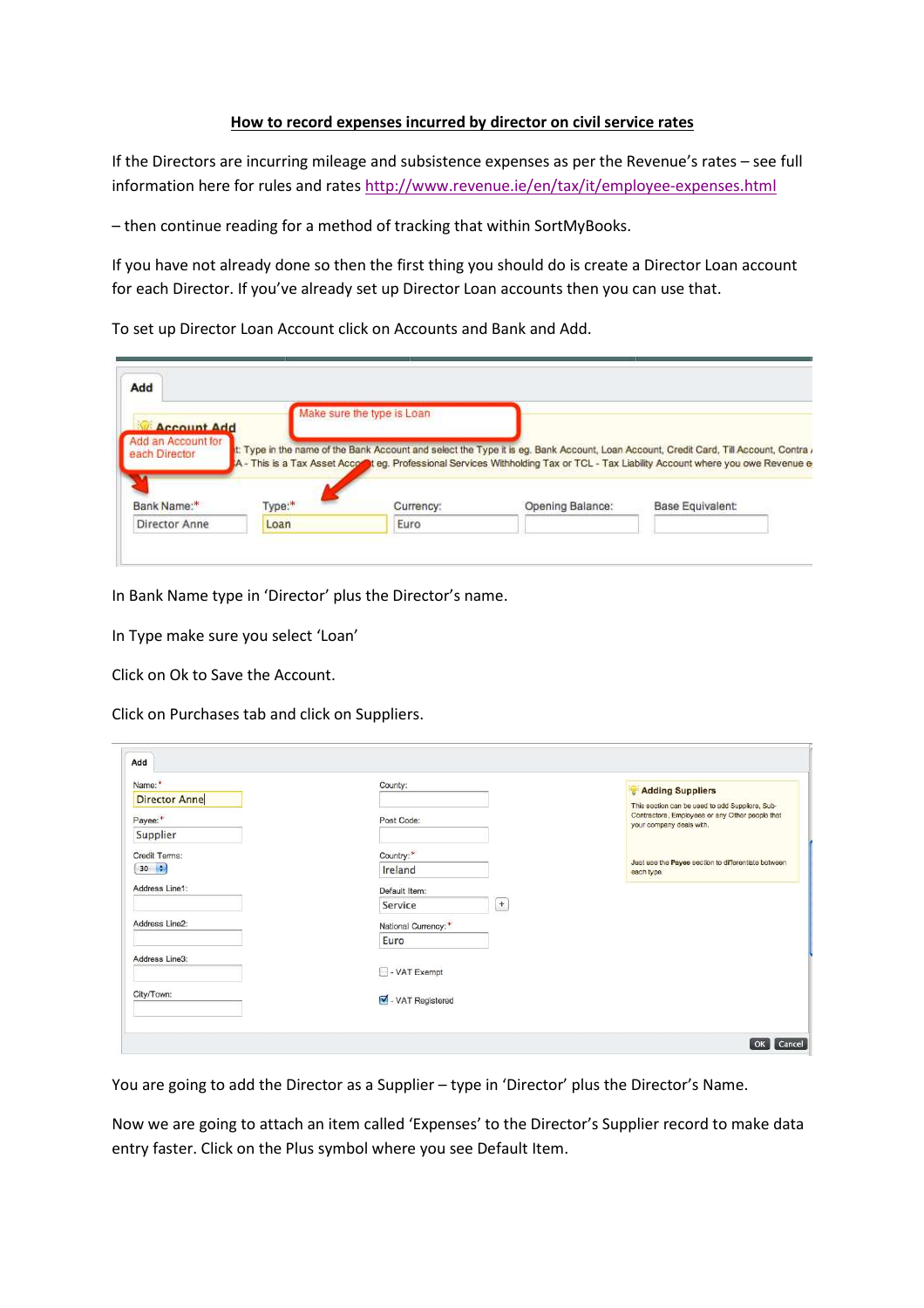## **How to record expenses incurred by director on civil service rates**

If the Directors are incurring mileage and subsistence expenses as per the Revenue's rates – see full information here for rules and rates http://www.revenue.ie/en/tax/it/employee-expenses.html

– then continue reading for a method of tracking that within SortMyBooks.

If you have not already done so then the first thing you should do is create a Director Loan account for each Director. If you've already set up Director Loan accounts then you can use that.

To set up Director Loan Account click on Accounts and Bank and Add.

| Account Add                         |        | Make sure the type is Loan |                                                                                                                                                                                                                                                                            |                         |
|-------------------------------------|--------|----------------------------|----------------------------------------------------------------------------------------------------------------------------------------------------------------------------------------------------------------------------------------------------------------------------|-------------------------|
| Add an Account for<br>each Director |        |                            | t: Type in the name of the Bank Account and select the Type it is eg. Bank Account, Loan Account, Credit Card, Till Account, Contra /<br>A - This is a Tax Asset Accord teg. Professional Services Withholding Tax or TCL - Tax Liability Account where you owe Revenue of |                         |
|                                     |        |                            |                                                                                                                                                                                                                                                                            |                         |
| Bank Name:*                         | Type:* | Currency:                  | Opening Balance:                                                                                                                                                                                                                                                           | <b>Base Equivalent:</b> |

In Bank Name type in 'Director' plus the Director's name.

In Type make sure you select 'Loan'

Click on Ok to Save the Account.

Click on Purchases tab and click on Suppliers.

| Name:*                          | County:                                     | Adding Suppliers                                                                                                               |
|---------------------------------|---------------------------------------------|--------------------------------------------------------------------------------------------------------------------------------|
| <b>Director Anne</b><br>Payee:* | Post Code:                                  | This section can be used to add Suppliers, Sub-<br>Contractors, Employees or any Other people that<br>your company deals with. |
| Supplier                        |                                             |                                                                                                                                |
| Credit Terms:                   | Country:*                                   |                                                                                                                                |
| $30 \div$                       | Ireland                                     | Just use the Payee section to differentiate between<br>each type.                                                              |
| Address Line1:                  | Default Item:                               |                                                                                                                                |
|                                 | $\begin{array}{c} + \end{array}$<br>Service |                                                                                                                                |
| Address Line2:                  | National Currency:*                         |                                                                                                                                |
|                                 | Euro                                        |                                                                                                                                |
| Address Line3:                  |                                             |                                                                                                                                |
|                                 | - VAT Exempt                                |                                                                                                                                |
| City/Town:                      | VAT Registered                              |                                                                                                                                |
|                                 |                                             |                                                                                                                                |

You are going to add the Director as a Supplier – type in 'Director' plus the Director's Name.

Now we are going to attach an item called 'Expenses' to the Director's Supplier record to make data entry faster. Click on the Plus symbol where you see Default Item.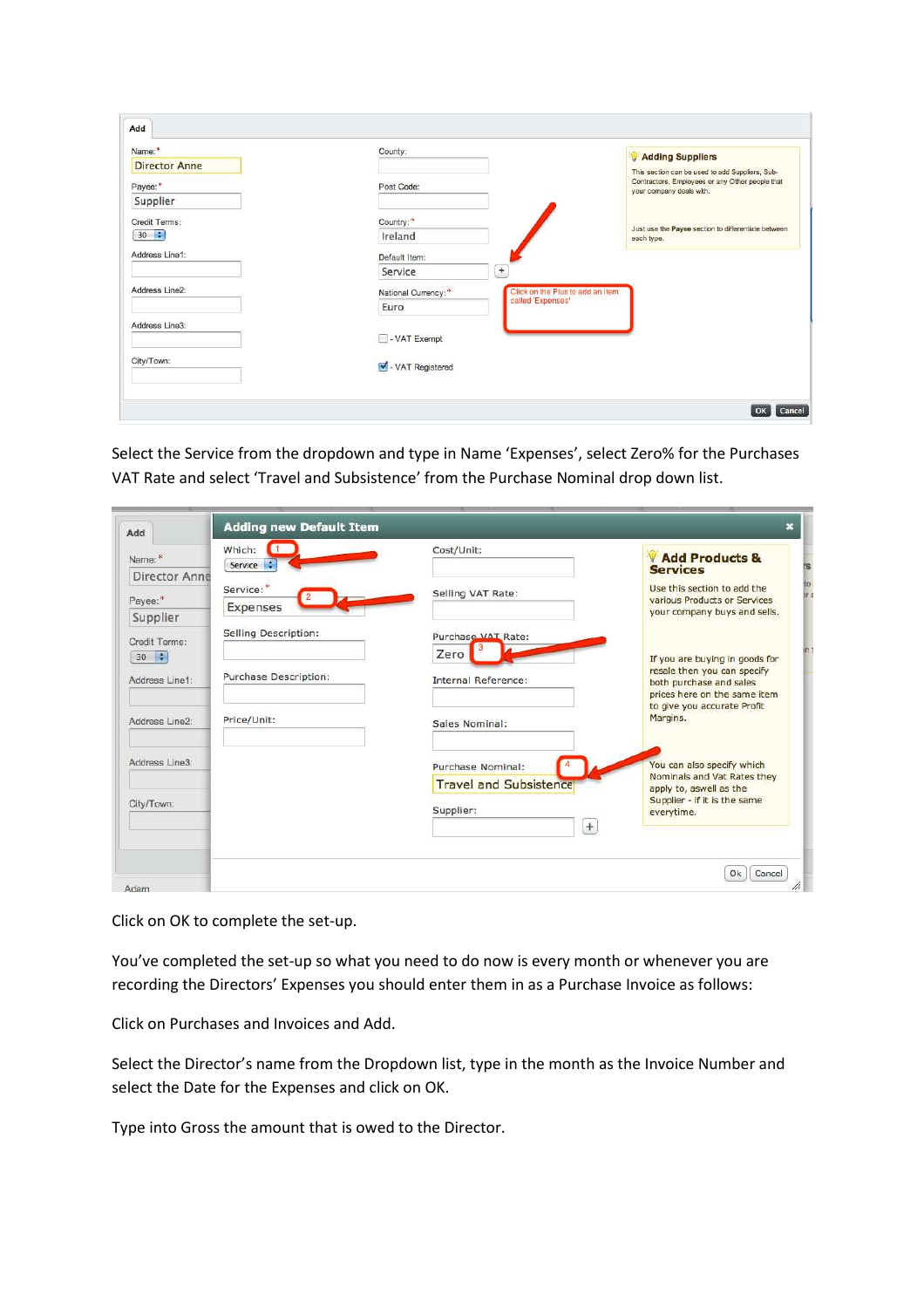| Name:*               | County:                   | Adding Suppliers                                                            |
|----------------------|---------------------------|-----------------------------------------------------------------------------|
| <b>Director Anne</b> |                           | This section can be used to add Suppliers, Sub-                             |
| Payee:*              | Post Code:                | Contractors, Employees or any Other people that<br>your company deals with. |
| Supplier             |                           |                                                                             |
| Credit Terms:        | Country:*                 |                                                                             |
| $30$ $\div$          | Ireland                   | Just use the Payee section to differentiate between<br>each type.           |
| Address Line1:       | Default Item:             |                                                                             |
|                      | $+$<br>Service            |                                                                             |
| Address Line2:       | National Currency:*       | Click on the Plus to add an item                                            |
|                      | called 'Expenses'<br>Euro |                                                                             |
| Address Line3:       |                           |                                                                             |
|                      | - VAT Exempt              |                                                                             |
| City/Town:           | VAT Registered            |                                                                             |
|                      |                           |                                                                             |

Select the Service from the dropdown and type in Name 'Expenses', select Zero% for the Purchases VAT Rate and select 'Travel and Subsistence' from the Purchase Nominal drop down list.

| Add                         | <b>Adding new Default Item</b>        |                                                    | $\boldsymbol{\mathsf{x}}$                                                                                                |
|-----------------------------|---------------------------------------|----------------------------------------------------|--------------------------------------------------------------------------------------------------------------------------|
| Name:*                      | Which:<br>$\blacksquare$<br>Service : | Cost/Unit:                                         | Add Products &<br><b>Services</b>                                                                                        |
| Director Anne<br>Payee:*    | Service:*<br>Expenses                 | Selling VAT Rate:                                  | Use this section to add the<br>various Products or Services<br>your company buys and sells.                              |
| Supplier<br>Credit Terms:   | Selling Description:                  | Purchase VAT Rate:                                 |                                                                                                                          |
| $30 \div$<br>Address Line1: | Purchase Description:                 | Zero<br><b>Internal Reference:</b>                 | If you are buying in goods for<br>resale then you can specify<br>both purchase and sales<br>prices here on the same item |
| Address Line2:              | Price/Unit:                           | Sales Nominal:                                     | to give you accurate Profit<br>Margins.                                                                                  |
| Address Line3:              |                                       | Purchase Nominal:<br><b>Travel and Subsistence</b> | You can also specify which<br>Nominals and Vat Rates they                                                                |
| City/Town:                  |                                       | Supplier:<br>$+$                                   | apply to, aswell as the<br>Supplier - if it is the same<br>everytime.                                                    |

Click on OK to complete the set-up.

You've completed the set-up so what you need to do now is every month or whenever you are recording the Directors' Expenses you should enter them in as a Purchase Invoice as follows:

Click on Purchases and Invoices and Add.

Select the Director's name from the Dropdown list, type in the month as the Invoice Number and select the Date for the Expenses and click on OK.

Type into Gross the amount that is owed to the Director.